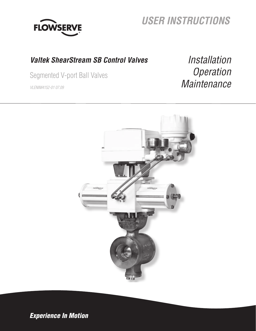

# **USER INSTRUCTIONS**

## **Valtek ShearStream SB Control Valves**

Segmented V-port Ball Valves

VLENIM4152-01 07.09

Installation **Operation Maintenance** 



Experience In Motion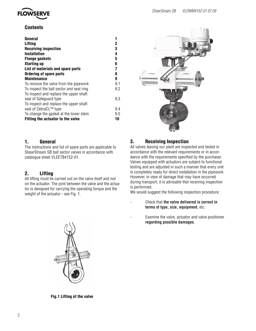

## **Contents**

| General                                  |             |
|------------------------------------------|-------------|
| <b>Lifting</b>                           | $\mathbf 2$ |
| <b>Receiving inspection</b>              | 3           |
| <b>Installation</b>                      | 4           |
| <b>Flange gaskets</b>                    | 5           |
| <b>Starting up</b>                       | 6           |
| List of materials and spare parts        | 7           |
| <b>Ordering of spare parts</b>           | 8           |
| <b>Maintenance</b>                       | 9           |
| To remove the valve from the pipework    | 9.1         |
| To inspect the ball sector and seat ring | 9.2         |
| To inspect and replace the upper shaft   |             |
| seal of Safeguard type                   | 9.3         |
| To inspect and replace the upper shaft   |             |
| seal of ZebraCL™ type                    | 9.4         |
| To change the gasket at the lower stem   | 9.5         |
| Fitting the actuator to the valve        | 10          |



## 1. General

The instructions and list of spare parts are applicable to ShearStream SB ball sector valves in accordance with catalogue sheet VLEETB4152-01.

## 2. Lifting

All lifting must be carried out on the valve itself and not on the actuator. The joint between the valve and the actuator is designed for carrying the operating torque and the weight of the actuator - see Fig. 1.

## 3. Receiving Inspection

All valves leaving our plant are inspected and tested in accordance with the relevant requirements or in accordance with the requirements specified by the purchaser. Valves equipped with actuators are subject to functional testing and are adjusted in such a manner that every unit is completely ready for direct installation in the pipework. However, in view of damage that may have occurred during transport, it is advisable that receiving inspection is performed.

We would suggest the following inspection procedure:

- Check that **the valve delivered is correct in terms of type, size, equipment**, etc.
- Examine the valve, actuator and valve positioner  **regarding possible damages**.



Fig.1 Lifting of the valve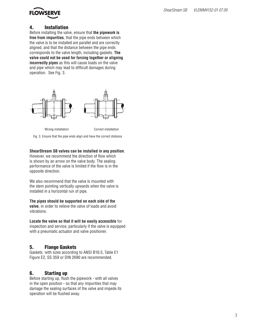

## 4. Installation

Before installing the valve, ensure that **the pipework is free from impurities**, that the pipe ends between which the valve is to be installed are parallel and are correctly aligned, and that the distance between the pipe ends corresponds to the valve length, including gaskets. **The valve could not be used for forcing together or aligning incorrectly pipes** as this will cause loads on the valve and pipe which may lead to difficult damages during operation. See Fig. 3.





Fig. 3. Ensure that the pipe ends align and have the correct distance

#### **ShearStream SB valves can be installed in any position**.

However, we recommend the direction of flow which is shown by an arrow on the valve body. The sealing performance of the valve is limited if the flow is in the opposite direction.

We also recommend that the valve is mounted with the stem pointing vertically upwards when the valve is installed in a horizontal run of pipe.

**The pipes should be supported on each side of the** 

**valve**, in order to relieve the valve of loads and avoid vibrations.

#### **Locate the valve so that it will be easily accessible** for

inspection and service, particularly if the valve is equipped with a pneumatic actuator and valve positioner.

## 5. Flange Gaskets

Gaskets with sizes according to ANSI B16.5, Table E1 Figure E2, SS 359 or DIN 2690 are recommended.

## 6. Starting up

Before starting up, flush the pipework - with all valves in the open position - so that any impurities that may damage the sealing surfaces of the valve and impede its operation will be flushed away.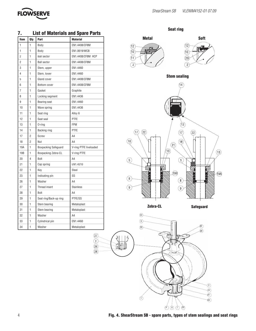

| ,              |                |                             | LIST OF MATELISMS AND SPACE PARTS |                                  |                              |
|----------------|----------------|-----------------------------|-----------------------------------|----------------------------------|------------------------------|
| Item           | Qty            | Part                        | <b>Material</b>                   | <b>Metal</b>                     | <b>Soft</b>                  |
| $\mathbf{1}$   | $\mathbf{1}$   | Body                        | EN1.4408/CF8M                     | $\widehat{12}$                   | (12)<br><u> Fol</u>          |
| $\mathbf{1}$   | $\mathbf{1}$   | Body                        | EN1.0619/WCB                      | $\widehat{10}$                   | $\left( \widehat{10}\right)$ |
| $\overline{2}$ | 1              | <b>Ball sector</b>          | EN1.4408/CF8M HCP                 | 11                               | (29)                         |
| $\overline{2}$ | $\mathbf{1}$   | <b>Ball sector</b>          | EN1.4408/CF8M                     |                                  |                              |
| 3              | 1              | Stem, upper                 | EN1.4460                          | $\widehat{2}$                    | $\overline{2}$               |
| $\overline{4}$ | $\mathbf{1}$   | Stem, lower                 | EN1.4460                          |                                  |                              |
| 5              | 1              | Gland cover                 | EN1.4408/CF8M                     | <b>Stem sealing</b>              |                              |
| 6              | $\mathbf{1}$   | Bottom cover                | EN1.4408/CF8M                     |                                  |                              |
| $\overline{7}$ | 1              | Gasket                      | Graphite                          |                                  |                              |
| 8              | 1              | Locking segment             | EN1.4436                          |                                  |                              |
| 9              | $\mathbf{1}$   | Bearing seat                | EN1.4460                          |                                  |                              |
| 10             | 1              | Wave spring                 | EN1.4436                          |                                  |                              |
| 11             | $\mathbf{1}$   | Seat ring                   | Alloy 6                           |                                  |                              |
| 12             | $\mathbf{1}$   | Seat seal                   | PTFE                              |                                  |                              |
| 13             | $\mathbf{1}$   | $0$ -ring                   | <b>FPM</b>                        |                                  | (13)                         |
| 14             | 1              | Backing ring                | <b>PTFE</b>                       | (17)<br>$\overline{22}$          | $\left( 22\right)$<br>17     |
| 17             | $\overline{2}$ | Screw                       | A4                                |                                  |                              |
| 18             | $\overline{2}$ | Nut                         | A4                                | (18)                             | (18)                         |
| 19A            | 1              | <b>Boxpacking Safeguard</b> | V-ring PTFE liveloaded            | (21)                             |                              |
| 19B            | $\mathbf{1}$   | Boxpacking Zebra-CL         | V-ring PTFE                       | 13                               |                              |
| 20             | 4              | Bolt                        | A4                                | $\left(5\right)$                 | $\sqrt{5}$                   |
| 21             | $\mathbf{1}$   | Cap spring                  | EN1.4310                          |                                  |                              |
| 22             | $\mathbf{1}$   | Key                         | Steel                             |                                  |                              |
| 23             | 1              | Indicating pin              | SS                                | (19B)                            |                              |
| 26             | 1              | Washer                      | A4                                | $\left[ 8 \right]$               | $\left[8\right]$             |
| 27             | 1              | Thread insert               | <b>Stainless</b>                  | $\left[9\right]$<br>$\mathbf{9}$ |                              |
| 28             | 1              | Bolt                        | A4                                |                                  |                              |
| 29             | $\mathbf{1}$   | Seat ring/Back-up ring      | PTFE/SS                           |                                  |                              |
| 30             | $\mathbf{1}$   | Stem bearing                | Metaloplast                       | Zebra-CL                         |                              |
| 31             | $\mathbf{1}$   | Stem bearing                | Metaloplast                       |                                  | <b>Safeguar</b>              |
| 32             | $\mathbf{1}$   | Washer                      | A4                                | (22)                             |                              |
| 33             | 1              | Cylindrical pin             | EN1.4460                          | $\overline{3}$                   |                              |
| 34             | 1              | Washer                      | Metaloplast                       | $\overline{23}$                  | (32)                         |
|                |                |                             |                                   |                                  | 60)                          |

 $\binom{27}{2}$ 

 $(28)$  $(26)$  $\circled{2}$ 

|--|



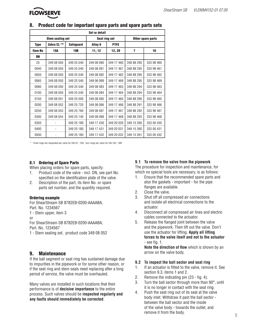

## 8. Product code for important spare parts and spare parts sets

| <b>Set or detail</b>    |            |                  |               |             |                   |            |  |  |  |  |
|-------------------------|------------|------------------|---------------|-------------|-------------------|------------|--|--|--|--|
| <b>Stem sealing set</b> |            |                  | Seat ring set |             | Other spare parts |            |  |  |  |  |
| <b>Type</b>             | Zebra CL ™ | <b>Safeguard</b> | Alloy 6       | <b>PTFE</b> |                   |            |  |  |  |  |
| <b>Item No</b>          | 19A        | <b>19B</b>       | 11, 12        | 12, 29      | $\overline{7}$    | 10         |  |  |  |  |
| DN                      |            |                  |               |             |                   |            |  |  |  |  |
| 25                      | 349 08 050 | 349 25 540       | 349 08 080    | 349 17 460  | 348 88 295        | 333 98 460 |  |  |  |  |
| 0040                    | 349 08 050 | 349 25 540       | 349 08 081    | 349 17 461  | 348 88 295        | 333 98 461 |  |  |  |  |
| 0050                    | 349 08 050 | 349 25 540       | 349 08 082    | 349 17 462  | 348 88 295        | 333 98 462 |  |  |  |  |
| 0065                    | 349 08 050 | 349 25 540       | 349 06 089    | 349 17 469  | 348 88 295        | 333 98 469 |  |  |  |  |
| 0080                    | 349 08 050 | 349 25 540       | 349 08 083    | 349 17 463  | 348 88 294        | 333 98 463 |  |  |  |  |
| 0100                    | 349 08 050 | 349 25 540       | 349 08 084    | 349 17 464  | 348 88 294        | 333 98 464 |  |  |  |  |
| 0150                    | 349 08 051 | 349 25 500       | 349 08 085    | 349 17 465  | 348 88 290        | 333 98 465 |  |  |  |  |
| 0200                    | 349 08 052 | 349 25 720       | 349 08 086    | 349 17 466  | 348 88 291        | 333 98 466 |  |  |  |  |
| 0250                    | 349 08 053 | 349 25 760       | 349 08 087    | 349 17 467  | 348 88 292        | 333 98 467 |  |  |  |  |
| 0300                    | 349 08 054 | 349 25 140       | 349 08 088    | 349 17 468  | 348 88 293        | 333 98 468 |  |  |  |  |
| 0350                    |            | 349 25 180       | 349 17 430    | 349 20 030  | 349 15 260        | 333 00 430 |  |  |  |  |
| 0400                    |            | 349 25 180       | 349 17 431    | 349 20 031  | 349 15 260        | 333 00 431 |  |  |  |  |
| 0500                    |            | 349 25 180       | 349 17 432    | 349 20 032  | 349 15 261        | 333 00 432 |  |  |  |  |

\* Three rings are requested per valve for DN 25 - 100, four rings per valve for DN 150 - 300

#### 8.1 Ordering of Spare Parts

When placing orders for spare parts, specify:

- 1. Product code of the valve incl. DN, see part No. specified on the identification plate of the valve.
- 2. Description of the part, its item No. or spare parts set number, and the quantity required.

#### Ordering example

For ShearStream SB 8782EB-0200-AAAABA, Part. No. 1234567 1 - Stem upper, item 3 or For ShearStream SB 8782EB-0200-AAAABA,

Part. No. 1234567

1 - Stem sealing set, product code 349 08 052

## 9. Maintenance

If the ball segment or seat ring has sustained damage due to impurities in the pipework or for some other reason, or if the seat ring and stem seals need replacing after a long period of service, the valve must be overhauled.

Many valves are installed in such locations that their performance is of **decisive importance** to the entire process. Such valves should be **inspected regularly and any faults should immediately be corrected**.

#### **9.1 To remove the valve from the pipework**

The procedure for inspection and maintenance, for which no special tools are necessary, is as follows:

- 1. Ensure that the recommended spare parts and also the gaskets - important - for the pipe flanges are available.
- 2. Close the valve.
- 3. Shut off all compressed air connections and isolate all electrical connections to the actuator.
- 4. Disconnect all compressed air lines and electric cables connected to the actuator.
- 5. Release the flanged joint between the valve and the pipework. Then lift out the valve. Don't use the actuator for lifting. **Apply all lifting forces to the valve itself and not to the actuator**  $-$  see fig. 1.

**Note the direction of flow** which is shown by an arrow on the valve body.

#### **9.2 To inspect the ball sector and seat ring**

- 1. If an actuator is fitted to the valve, remove it. See section 9.3, items 1 and 2.
- 2. Remove the indicating pin  $(23 fig. 4)$ .
- 3. Turn the ball sector through more than 90°, until it is no longer in contact with the seat ring.
- 4. Push the seat ring out of its seat at the valve body inlet. Withdraw it past the ball sector between the ball sector and the inside of the valve body - towards the outlet, and remove it from the body.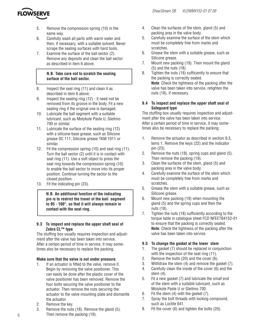

- 5. Remove the compression spring (10) in the same way.
- 6. Carefully wash all parts with warm water and then, if necessary, with a suitable solvent. Never scrape the sealing surfaces with hard tools.
- 7. Examine the surface of the ball sector (2). Remove any deposits and clean the ball sector as described in item 6 above.

#### **N.B. Take care not to scratch the sealing surface of the ball sector.**

- 8. Inspect the seat ring (11) and clean it as described in item 6 above.
- 9. Inspect the sealing ring (12) it need not be removed from its groove in the body. Fit a new sealing ring if the original one is damaged.
- 10. Lubricate the ball segment with a suitable lubricant, such as Molykote Paste U, Gleitmo 700 or similar.
- 11. Lubricate the surface of the sealing ring (12) with a silicone-base grease, such as Silicone grease DC 111, Silicone grease TKM 1011 or similar.
- 12. Fit the compression spring (10) and seat ring (11). Turn the ball sector (2) until it is in contact with seat ring (11). Use a soft object to press the seat ring towards the compression spring (10) to enable the ball sector to move into its proper position. Continue turning the sector to the closed position.
- 13. Fit the indicating pin (23).

**N.B. An additional function of the indicating pin is to restrict the travel of the ball segment to 95 - 100°, so that it will always remain in contact with the seat ring.** 

## **9.3 To inspect and replace the upper shaft seal of Zebra CL™ type**

The stuffing box usually requires inspection and adjustment after the valve has been taken into service. After a certain period of time in service, it may sometimes also be necessary to replace the packing.

## **Make sure that the valve is not under pressure**.

- 1. If an actuator is fitted to the valve, remove it. Begin by removing the valve positioner. This can easily be done after the plastic cover of the valve positioner has been removed. Remove the four bolts securing the valve positioner to the actuator. Then remove the nuts securing the actuator to the valve mounting plate and dismantle the actuator.
- 2. Remove the key.
- 3. Remove the nuts (18). Remove the gland (5). Then remove the packing (19).
- 4. Clean the surfaces of the stem, gland (5) and packing area in the valve body.
- 5. Carefully examine the surface of the stem which must be completely free from marks and scratches.
- 6. Grease the stem with a suitable grease, such as Silicone grease.
- 7. Mount new packing (19). Then mount the gland (5) and the nuts (18).
- 8. Tighten the nuts (18) sufficiently to ensure that the packing is correctly seated. **Note**: Check the tightness of the packing after the valve has been taken into service, retighten the nuts (18), if necessary.

## **9.4 To inspect and replace the upper shaft seal of Safeguard type**

The stuffing box usually requires inspection and adjustment after the valve has been taken into service. After a certain period of time in service, it may sometimes also be necessary to replace the packing.

- 1. Remove the actuator as described in section 9.3, tems 1. Remove the keys (22) and the indicator pin (23).
- 2. Remove the nuts (18), spring cups and gland (5). Then remove the packing (19).
- 3. Clean the surfaces of the stem, gland (5) and packing area in the valve body.
- 4. Carefully examine the surface of the stem which must be completely free from marks and scratches.
- 5. Grease the stem with a suitable grease, such as Silicone grease.
- 6. Mount new packing (19) when mounting the gland (5) and the spring cups and then the nuts (18).
- 7. Tighten the nuts (18) sufficiently according to the torque table in catalogue sheet FCD NFEETB4152-01 to ensure that the packing is correctly seated. **Note**: Check the tightness of the packing after the valve has been taken into service.

## **9.5 To change the gasket at the lower stem**

- 1. The gasket (7) should be replaced in conjunction with the inspection of the seat ring  $(11)$ .
- 2. Remove the bolts (20) and the cover (6).
- 3. Withdraw the stem (4) and remove the gasket (7).
- 4. Carefully clean the inside of the cover (6) and the stem (4).
- 5. Fit a new gasket (7) and lubricate the small end of the stem with a suitable lubricant, such as Molykote Paste U or Gleitmo 700.
- 6. Fit the stem (4) with the gasket (7).
- 7. Spray the bolt threads with locking compound, such as Loctite 641.
- 8. Fit the cover (6) and tighten the bolts (20).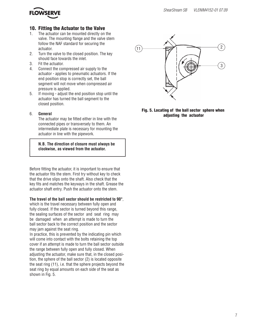

## 10. Fitting the Actuator to the Valve

- 1. The actuator can be mounted directly on the valve. The mounting flange and the valve stem follow the NAF standard for securing the actuator.
- 2. Turn the valve to the closed position. The key should face towards the inlet.
- 3. Fit the actuator.
- 4. Connect the compressed air supply to the actuator - applies to pneumatic actuators. If the end position stop is correctly set, the ball segment will not move when compressed air pressure is applied.
- 5. If moving adjust the end position stop until the actuator has turned the ball segment to the closed position.

## 6. **General**

The actuator may be fitted either in line with the connected pipes or transversely to them. An intermediate plate is necessary for mounting the actuator in line with the pipework.

**N.B. The direction of closure must always be clockwise, as viewed from the actuator.**

Before fitting the actuator, it is important to ensure that the actuator fits the stem. First try without key to check that the drive slips onto the shaft. Also check that the key fits and matches the keyways in the shaft. Grease the actuator shaft entry. Push the actuator onto the stem.

## **The travel of the ball sector should be restricted to 90°**,

which is the travel necessary between fully open and fully closed. If the sector is turned beyond this range, the sealing surfaces of the sector and seat ring may be damaged when an attempt is made to turn the ball sector back to the correct position and the sector may jam against the seat ring.

In practice, this is prevented by the indicating pin which will come into contact with the bolts retaining the top cover if an attempt is made to turn the ball sector outside the range between fully open and fully closed. When adjusting the actuator, make sure that, in the closed position, the sphere of the ball sector (2) is located opposite the seat ring (11), i.e. that the sphere projects beyond the seat ring by equal amounts on each side of the seat as shown in Fig. 5.



Fig. 5. Locating of the ball sector sphere when adjusting the actuator